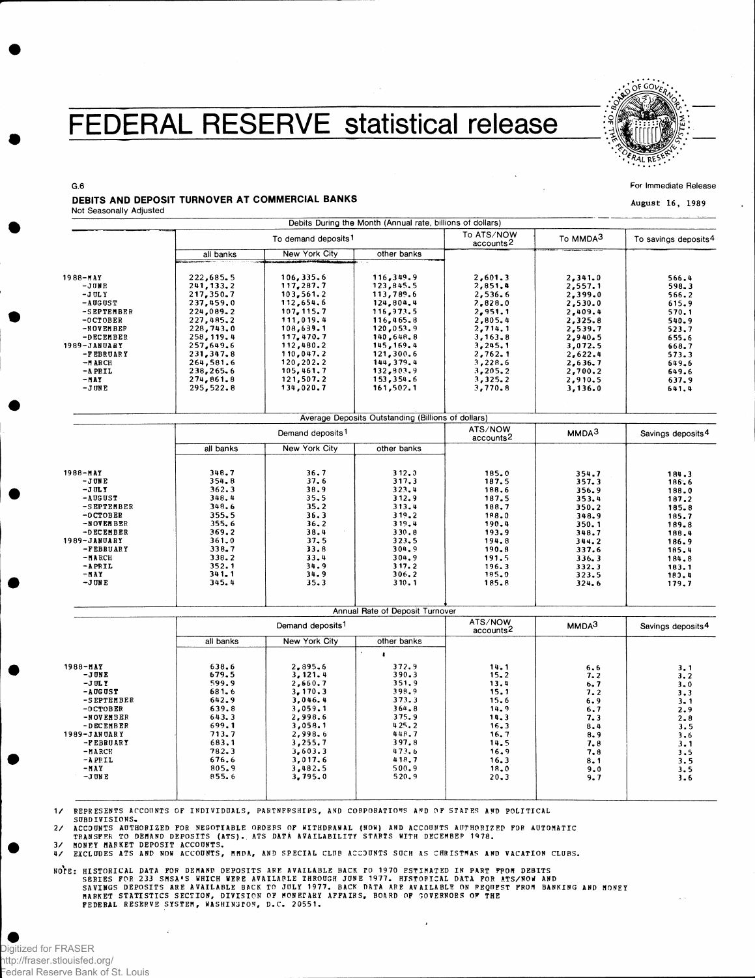## FEDERAL RESERVE statistical release



For Immediate Release

**August 16, 1989**

#### DEBITS AND DEPOSIT TURNOVER AT COMMERCIAL BANKS Not Seasonally Adjusted

**G.6** 

|                                                              |                                                                |                                                                | Debits During the Month (Annual rate, billions of dollars)       |                                                        |                                                     |                                           |
|--------------------------------------------------------------|----------------------------------------------------------------|----------------------------------------------------------------|------------------------------------------------------------------|--------------------------------------------------------|-----------------------------------------------------|-------------------------------------------|
|                                                              | To demand deposits <sup>1</sup>                                |                                                                |                                                                  | To ATS/NOW<br>accounts <sup>2</sup>                    | To MMDA <sup>3</sup>                                | To savings deposits <sup>4</sup>          |
|                                                              | all banks                                                      | New York City                                                  | other banks                                                      |                                                        |                                                     |                                           |
| $1988 - 514$<br>$-JJWE$<br>$-1$ OL Y                         | 222,685.5<br>241,133.2<br>217,350,7                            | 106, 335.6<br>117,287.7<br>$103, 561.2$<br>112,654.6           | 116,349.9<br>123,845.5<br>113,789.6                              | 2,601.3<br>2,851.4<br>2,536.6                          | 2, 341.0<br>2,557.1<br>2,399.0                      | 566.4<br>598.3<br>566.2                   |
| $-$ AUGUST<br>-SEPTEMBER<br>$-0$ CTOBER<br>-NOVEMBEP         | 237,459.0<br>224,089.2<br>227,485.2<br>228,743.0               | 107, 115.7<br>111,019.4<br>108,639.1                           | 124,804.4<br>116,973.5<br>116,465.8<br>120,053.9                 | 2,828.0<br>2,951.1<br>2,805.4<br>2,714.1               | 2,530.0<br>2,409.4<br>2,325.8<br>2,539.7            | 615.9<br>570.1<br>540.9<br>523.7          |
| -DECEMBER<br>1989-JANUARY<br>-FEBRUARY<br>$-MARCH$<br>-APRIL | 258, 119.4<br>257,649.6<br>231,347.8<br>264,581.6<br>238,265.6 | 117,470.7<br>112,480.2<br>110,047.2<br>120, 202.2<br>105,461.7 | 140,648.8<br>145, 169.4<br>121,300.6<br>144, 379.4<br>132, 903.9 | 3, 163.8<br>3,245.1<br>2,762.1<br>3,228.6<br>3, 205, 2 | 2,940.5<br>3,072.5<br>2,622.4<br>2,636.7<br>2,700.2 | 655.6<br>668.7<br>573.3<br>649.6<br>649.6 |
| – MAY<br>$-J$ UNE                                            | 274,861.8<br>295,522.8                                         | 121,507.2<br>134,020.7                                         | 153,354.6<br>161,502.1                                           | 3,325.2<br>3,770.8                                     | 2,910.5<br>3,136.0                                  | 637.9<br>641.4                            |
|                                                              |                                                                |                                                                | Average Deposits Outstanding (Billions of dollars)               |                                                        |                                                     |                                           |
|                                                              | Demand deposits <sup>1</sup>                                   |                                                                |                                                                  | ATS/NOW<br>accounts <sup>2</sup>                       | MMDA <sup>3</sup>                                   | Savings deposits <sup>4</sup>             |
|                                                              | all banks                                                      | New York City                                                  | other banks                                                      |                                                        |                                                     |                                           |
| $1988 - MAY$<br>- J ON E                                     | 348.7<br>354.8                                                 | 36.7<br>37.6                                                   | 312.3<br>317.3                                                   | 185.0<br>187.5                                         | 354.7<br>357.3                                      | 184.3<br>186.6                            |
| $-J$ UL Y<br>-AUGUST<br>-SEPTEMBER<br>$-0$ CTOBER            | 362.3<br>348.4<br>348.6<br>355.5                               | 38.9<br>$35 - 5$<br>35.2<br>36.3                               | 323.4<br>312.9<br>313.4<br>319.2                                 | 188.6<br>187.5<br>188.7<br>188.0                       | 356.9<br>353.4<br>350.2<br>348.9                    | 188.0<br>187.2<br>185.8<br>185.7          |
| -NOVENBER<br>-DECEMBER<br>1989-JANUARY                       | 355.6<br>369.2<br>361.0                                        | 36.2<br>38.4<br>37.5                                           | 319.4<br>330.8<br>323.5                                          | 190.4<br>193.9<br>194.8                                | 350.1<br>348.7<br>344.2                             | 189.8<br>188.4<br>186.9                   |
| -FEBRUARY<br>$-MARCH$<br>$-A$ PRIL<br>-MAY                   | 338.7<br>338.2<br>352.1<br>341.1                               | 33.8<br>33.4<br>34.9<br>34.9                                   | 304.9<br>304.9<br>317.2<br>306.2                                 | 190.8<br>191.5<br>196.3<br>185.0                       | 337.6<br>336.3<br>332.3<br>323.5                    | 185.4<br>184.8<br>183.1<br>180.4          |
| -JUNE                                                        | 345.4                                                          | 35.3                                                           | 310.1                                                            | 185.8                                                  | 324.6                                               | 179.7                                     |
|                                                              |                                                                |                                                                | Annual Rate of Deposit Turnover                                  |                                                        |                                                     |                                           |
|                                                              | Demand deposits <sup>1</sup>                                   |                                                                |                                                                  | ATS/NOW<br>accounts <sup>2</sup>                       | MMDA <sup>3</sup>                                   | Savings deposits <sup>4</sup>             |
|                                                              | all banks                                                      | New York City                                                  | other banks                                                      |                                                        |                                                     |                                           |
| 1988-MAY<br>$-JUNE$                                          | 638.6<br>679.5                                                 | 2,895.6<br>3,121.4                                             | ×<br>372.9<br>390.3                                              | 14.1<br>$15 - 2$                                       | 6.6<br>7.2                                          | 3.1<br>3.2                                |
| $-J$ UL Y<br>$-$ AUGUST<br>-SEPTEMBER<br>$-0$ CTOBER         | 599.9<br>681.6<br>642.9<br>639.8                               | 2,660.7<br>3, 170.3<br>3,046.4<br>3,059.1                      | 351.9<br>398.9<br>373.3<br>364.8                                 | 13.4<br>15.1<br>15.6<br>14.9                           | 6.7<br>7.2<br>6.9<br>6.7                            | $3 - 0$<br>3.3<br>$3 - 1$<br>2.9          |
| -NOVEMBER<br>-DECEMBER<br>1989-JANUARY<br>-FEBRUARY          | 643.3<br>699.1<br>713.7<br>683,1<br>782.3                      | 2,998.6<br>3,058.1<br>2,998.6<br>3,255.7<br>3,603.3            | 375.9<br>425.2<br>448.7<br>397.8<br>473.6                        | 14.3<br>16.3<br>16.7<br>14.5<br>16.9                   | 7.3<br>8.4<br>8.9<br>7.8                            | $2 - 8$<br>3.5<br>3.6<br>3.1              |
| $-MARCE$<br>$-$ A PP IL<br>$-MAY$<br>$-J$ UN E               | 676.6<br>805.9<br>855.6                                        | 3,017.6<br>3,482.5<br>3,795.0                                  | 418.7<br>500.9<br>520.9                                          | 16.3<br>18.0<br>20.3                                   | 7.8<br>8.1<br>9.0<br>9.7                            | 3.5<br>3.5<br>3.5<br>3.6                  |

REPRESENTS ACCOUNTS OF INDIVIDUALS, PARTNERSHIPS, AND CORPORATIONS AND OF STATES AND POLITICAL SUBDIVISIONS. **1 /** 

ACCOUNTS AUTHORIZED FOR NEGOTIABLE ORDERS OF WITHDRAWAL (NOW) AND ACCOUNTS AUTHORIZED FOR AUTOMATIC<br>TRANSFER TO DEMAND DEPOSITS (ATS). ATS DATÀ AVAILABILITY STARTS WITH DECEMBER 1978.<br>MONEY MARKET DEPOSIT ACCOUNTS. **2 /** 

 $\overline{3}$ 

EXCLUDES ATS AND NOW ACCOUNTS, MMDA, AND SPECIAL CLUB ACCOUNTS SUCH AS CHRISTMAS AND VACATION CLUBS.  $4/$ 

NOTE: HISTORICAL DATA FOR DEMAND DEPOSITS ARE AVAILABLE BACK TO 1970 ESTIMATED IN PART FROM DEBITS<br>SERIES FOR 233 SMSA'S WHICH WERE AVAILARLE THROUGH JUNE 1977. HISTORICAL DATA FOR ATS/NOW AND<br>SAVINGS DEPOSITS ARE AVAILABL